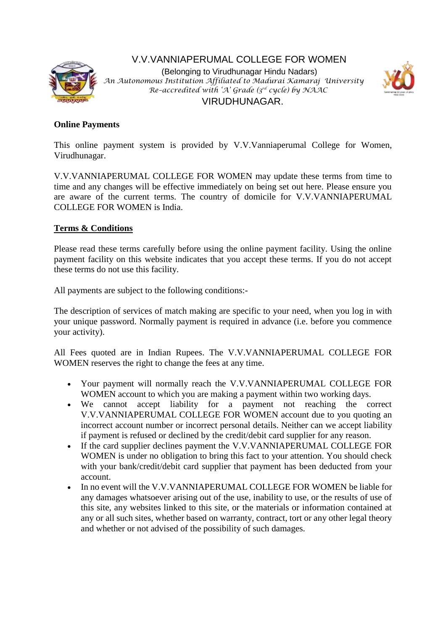

V.V.VANNIAPERUMAL COLLEGE FOR WOMEN (Belonging to Virudhunagar Hindu Nadars) *An Autonomous Institution Affiliated to Madurai Kamaraj University Re–accredited with 'A' Grade (3rd cycle) by NAAC* VIRUDHUNAGAR.



### **Online Payments**

This online payment system is provided by V.V.Vanniaperumal College for Women, Virudhunagar.

V.V.VANNIAPERUMAL COLLEGE FOR WOMEN may update these terms from time to time and any changes will be effective immediately on being set out here. Please ensure you are aware of the current terms. The country of domicile for V.V.VANNIAPERUMAL COLLEGE FOR WOMEN is India.

## **Terms & Conditions**

Please read these terms carefully before using the online payment facility. Using the online payment facility on this website indicates that you accept these terms. If you do not accept these terms do not use this facility.

All payments are subject to the following conditions:-

The description of services of match making are specific to your need, when you log in with your unique password. Normally payment is required in advance (i.e. before you commence your activity).

All Fees quoted are in Indian Rupees. The V.V.VANNIAPERUMAL COLLEGE FOR WOMEN reserves the right to change the fees at any time.

- Your payment will normally reach the V.V.VANNIAPERUMAL COLLEGE FOR WOMEN account to which you are making a payment within two working days.
- We cannot accept liability for a payment not reaching the correct V.V.VANNIAPERUMAL COLLEGE FOR WOMEN account due to you quoting an incorrect account number or incorrect personal details. Neither can we accept liability if payment is refused or declined by the credit/debit card supplier for any reason.
- If the card supplier declines payment the V.V.VANNIAPERUMAL COLLEGE FOR WOMEN is under no obligation to bring this fact to your attention. You should check with your bank/credit/debit card supplier that payment has been deducted from your account.
- In no event will the V.V.VANNIAPERUMAL COLLEGE FOR WOMEN be liable for any damages whatsoever arising out of the use, inability to use, or the results of use of this site, any websites linked to this site, or the materials or information contained at any or all such sites, whether based on warranty, contract, tort or any other legal theory and whether or not advised of the possibility of such damages.